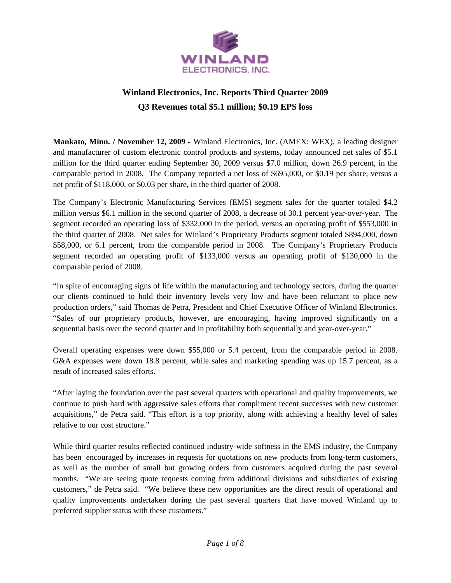

# **Winland Electronics, Inc. Reports Third Quarter 2009 Q3 Revenues total \$5.1 million; \$0.19 EPS loss**

**Mankato, Minn. / November 12, 2009 -** Winland Electronics, Inc. (AMEX: WEX), a leading designer and manufacturer of custom electronic control products and systems, today announced net sales of \$5.1 million for the third quarter ending September 30, 2009 versus \$7.0 million, down 26.9 percent, in the comparable period in 2008. The Company reported a net loss of \$695,000, or \$0.19 per share, versus a net profit of \$118,000, or \$0.03 per share, in the third quarter of 2008.

The Company's Electronic Manufacturing Services (EMS) segment sales for the quarter totaled \$4.2 million versus \$6.1 million in the second quarter of 2008, a decrease of 30.1 percent year-over-year. The segment recorded an operating loss of \$332,000 in the period, versus an operating profit of \$553,000 in the third quarter of 2008. Net sales for Winland's Proprietary Products segment totaled \$894,000, down \$58,000, or 6.1 percent, from the comparable period in 2008. The Company's Proprietary Products segment recorded an operating profit of \$133,000 versus an operating profit of \$130,000 in the comparable period of 2008.

"In spite of encouraging signs of life within the manufacturing and technology sectors, during the quarter our clients continued to hold their inventory levels very low and have been reluctant to place new production orders," said Thomas de Petra, President and Chief Executive Officer of Winland Electronics. "Sales of our proprietary products, however, are encouraging, having improved significantly on a sequential basis over the second quarter and in profitability both sequentially and year-over-year."

Overall operating expenses were down \$55,000 or 5.4 percent, from the comparable period in 2008. G&A expenses were down 18.8 percent, while sales and marketing spending was up 15.7 percent, as a result of increased sales efforts.

"After laying the foundation over the past several quarters with operational and quality improvements, we continue to push hard with aggressive sales efforts that compliment recent successes with new customer acquisitions," de Petra said. "This effort is a top priority, along with achieving a healthy level of sales relative to our cost structure."

While third quarter results reflected continued industry-wide softness in the EMS industry, the Company has been encouraged by increases in requests for quotations on new products from long-term customers, as well as the number of small but growing orders from customers acquired during the past several months. "We are seeing quote requests coming from additional divisions and subsidiaries of existing customers," de Petra said. "We believe these new opportunities are the direct result of operational and quality improvements undertaken during the past several quarters that have moved Winland up to preferred supplier status with these customers."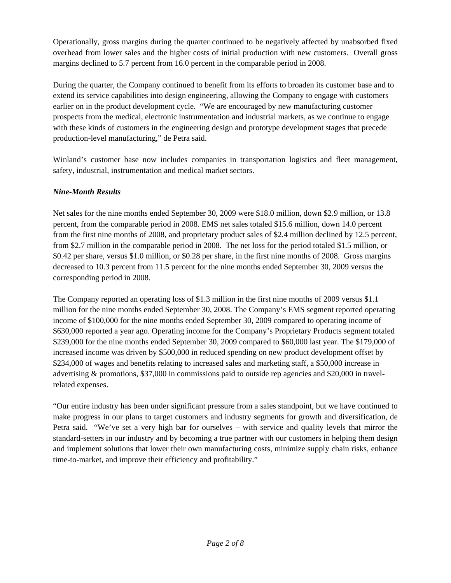Operationally, gross margins during the quarter continued to be negatively affected by unabsorbed fixed overhead from lower sales and the higher costs of initial production with new customers. Overall gross margins declined to 5.7 percent from 16.0 percent in the comparable period in 2008.

During the quarter, the Company continued to benefit from its efforts to broaden its customer base and to extend its service capabilities into design engineering, allowing the Company to engage with customers earlier on in the product development cycle. "We are encouraged by new manufacturing customer prospects from the medical, electronic instrumentation and industrial markets, as we continue to engage with these kinds of customers in the engineering design and prototype development stages that precede production-level manufacturing," de Petra said.

Winland's customer base now includes companies in transportation logistics and fleet management, safety, industrial, instrumentation and medical market sectors.

# *Nine-Month Results*

Net sales for the nine months ended September 30, 2009 were \$18.0 million, down \$2.9 million, or 13.8 percent, from the comparable period in 2008. EMS net sales totaled \$15.6 million, down 14.0 percent from the first nine months of 2008, and proprietary product sales of \$2.4 million declined by 12.5 percent, from \$2.7 million in the comparable period in 2008. The net loss for the period totaled \$1.5 million, or \$0.42 per share, versus \$1.0 million, or \$0.28 per share, in the first nine months of 2008. Gross margins decreased to 10.3 percent from 11.5 percent for the nine months ended September 30, 2009 versus the corresponding period in 2008.

The Company reported an operating loss of \$1.3 million in the first nine months of 2009 versus \$1.1 million for the nine months ended September 30, 2008. The Company's EMS segment reported operating income of \$100,000 for the nine months ended September 30, 2009 compared to operating income of \$630,000 reported a year ago. Operating income for the Company's Proprietary Products segment totaled \$239,000 for the nine months ended September 30, 2009 compared to \$60,000 last year. The \$179,000 of increased income was driven by \$500,000 in reduced spending on new product development offset by \$234,000 of wages and benefits relating to increased sales and marketing staff, a \$50,000 increase in advertising & promotions, \$37,000 in commissions paid to outside rep agencies and \$20,000 in travelrelated expenses.

"Our entire industry has been under significant pressure from a sales standpoint, but we have continued to make progress in our plans to target customers and industry segments for growth and diversification, de Petra said. "We've set a very high bar for ourselves – with service and quality levels that mirror the standard-setters in our industry and by becoming a true partner with our customers in helping them design and implement solutions that lower their own manufacturing costs, minimize supply chain risks, enhance time-to-market, and improve their efficiency and profitability."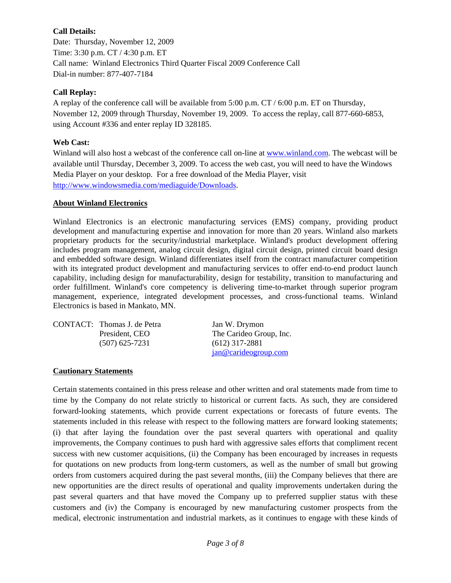# **Call Details:**

Date: Thursday, November 12, 2009 Time: 3:30 p.m. CT / 4:30 p.m. ET Call name: Winland Electronics Third Quarter Fiscal 2009 Conference Call Dial-in number: 877-407-7184

# **Call Replay:**

A replay of the conference call will be available from 5:00 p.m. CT / 6:00 p.m. ET on Thursday, November 12, 2009 through Thursday, November 19, 2009. To access the replay, call 877-660-6853, using Account #336 and enter replay ID 328185.

# **Web Cast:**

Winland will also host a webcast of the conference call on-line at www.winland.com. The webcast will be available until Thursday, December 3, 2009. To access the web cast, you will need to have the Windows Media Player on your desktop. For a free download of the Media Player, visit http://www.windowsmedia.com/mediaguide/Downloads.

# **About Winland Electronics**

Winland Electronics is an electronic manufacturing services (EMS) company, providing product development and manufacturing expertise and innovation for more than 20 years. Winland also markets proprietary products for the security/industrial marketplace. Winland's product development offering includes program management, analog circuit design, digital circuit design, printed circuit board design and embedded software design. Winland differentiates itself from the contract manufacturer competition with its integrated product development and manufacturing services to offer end-to-end product launch capability, including design for manufacturability, design for testability, transition to manufacturing and order fulfillment. Winland's core competency is delivering time-to-market through superior program management, experience, integrated development processes, and cross-functional teams. Winland Electronics is based in Mankato, MN.

| CONTACT: Thomas J. de Petra<br>President, CEO | Jan W. Drymon<br>The Carideo Group, Inc. |
|-----------------------------------------------|------------------------------------------|
| $(507)$ 625-7231                              | $(612)$ 317-2881<br>jan@cardeogroup.com  |

## **Cautionary Statements**

Certain statements contained in this press release and other written and oral statements made from time to time by the Company do not relate strictly to historical or current facts. As such, they are considered forward-looking statements, which provide current expectations or forecasts of future events. The statements included in this release with respect to the following matters are forward looking statements; (i) that after laying the foundation over the past several quarters with operational and quality improvements, the Company continues to push hard with aggressive sales efforts that compliment recent success with new customer acquisitions, (ii) the Company has been encouraged by increases in requests for quotations on new products from long-term customers, as well as the number of small but growing orders from customers acquired during the past several months, (iii) the Company believes that there are new opportunities are the direct results of operational and quality improvements undertaken during the past several quarters and that have moved the Company up to preferred supplier status with these customers and (iv) the Company is encouraged by new manufacturing customer prospects from the medical, electronic instrumentation and industrial markets, as it continues to engage with these kinds of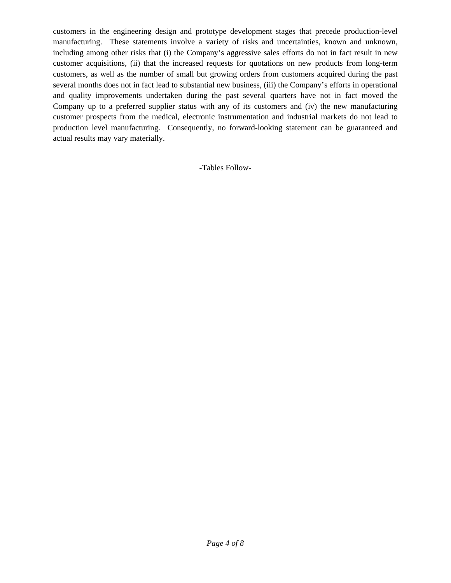customers in the engineering design and prototype development stages that precede production-level manufacturing. These statements involve a variety of risks and uncertainties, known and unknown, including among other risks that (i) the Company's aggressive sales efforts do not in fact result in new customer acquisitions, (ii) that the increased requests for quotations on new products from long-term customers, as well as the number of small but growing orders from customers acquired during the past several months does not in fact lead to substantial new business, (iii) the Company's efforts in operational and quality improvements undertaken during the past several quarters have not in fact moved the Company up to a preferred supplier status with any of its customers and (iv) the new manufacturing customer prospects from the medical, electronic instrumentation and industrial markets do not lead to production level manufacturing. Consequently, no forward-looking statement can be guaranteed and actual results may vary materially.

-Tables Follow-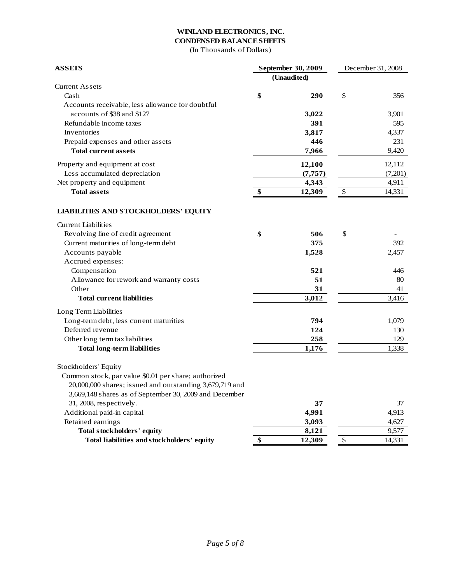#### **WINLAND ELECTRONICS, INC. CONDENSED BALANCE SHEETS**

(In Thousands of Dollars)

| <b>ASSETS</b>                                           |    | September 30, 2009 | December 31, 2008 |         |  |
|---------------------------------------------------------|----|--------------------|-------------------|---------|--|
|                                                         |    | (Unaudited)        |                   |         |  |
| <b>Current Assets</b>                                   |    |                    |                   |         |  |
| Cash                                                    | \$ | 290                | \$                | 356     |  |
| Accounts receivable, less allowance for doubtful        |    |                    |                   |         |  |
| accounts of \$38 and \$127                              |    | 3,022              |                   | 3,901   |  |
| Refundable income taxes                                 |    | 391                |                   | 595     |  |
| Inventories                                             |    | 3,817              |                   | 4,337   |  |
| Prepaid expenses and other assets                       |    | 446                |                   | 231     |  |
| <b>Total current assets</b>                             |    | 7,966              |                   | 9,420   |  |
| Property and equipment at cost                          |    | 12,100             |                   | 12,112  |  |
| Less accumulated depreciation                           |    | (7, 757)           |                   | (7,201) |  |
| Net property and equipment                              |    | 4,343              |                   | 4,911   |  |
| <b>Total assets</b>                                     | \$ | 12,309             | \$                | 14,331  |  |
| <b>LIABILITIES AND STOCKHOLDERS' EQUITY</b>             |    |                    |                   |         |  |
| <b>Current Liabilities</b>                              |    |                    |                   |         |  |
| Revolving line of credit agreement                      | \$ | 506                | \$                |         |  |
| Current maturities of long-term debt                    |    | 375                |                   | 392     |  |
| Accounts payable                                        |    | 1,528              |                   | 2,457   |  |
| Accrued expenses:                                       |    |                    |                   |         |  |
| Compensation                                            |    | 521                |                   | 446     |  |
| Allowance for rework and warranty costs                 |    | 51                 |                   | 80      |  |
| Other                                                   |    | 31                 |                   | 41      |  |
| <b>Total current liabilities</b>                        |    | 3,012              |                   | 3.416   |  |
| Long Term Liabilities                                   |    |                    |                   |         |  |
| Long-term debt, less current maturities                 |    | 794                |                   | 1,079   |  |
| Deferred revenue                                        |    | 124                |                   | 130     |  |
| Other long term tax liabilities                         |    | 258                |                   | 129     |  |
| <b>Total long-term liabilities</b>                      |    | 1,176              |                   | 1,338   |  |
| Stockholders' Equity                                    |    |                    |                   |         |  |
| Common stock, par value \$0.01 per share; authorized    |    |                    |                   |         |  |
| 20,000,000 shares; issued and outstanding 3,679,719 and |    |                    |                   |         |  |
| 3,669,148 shares as of September 30, 2009 and December  |    |                    |                   |         |  |
| 31, 2008, respectively.                                 |    | 37                 |                   | 37      |  |
| Additional paid-in capital                              |    | 4,991              |                   | 4,913   |  |
| Retained earnings                                       |    | 3,093              |                   | 4,627   |  |
| Total stockholders' equity                              |    | 8,121              |                   | 9,577   |  |
| Total liabilities and stockholders' equity              | \$ | 12,309             | \$                | 14,331  |  |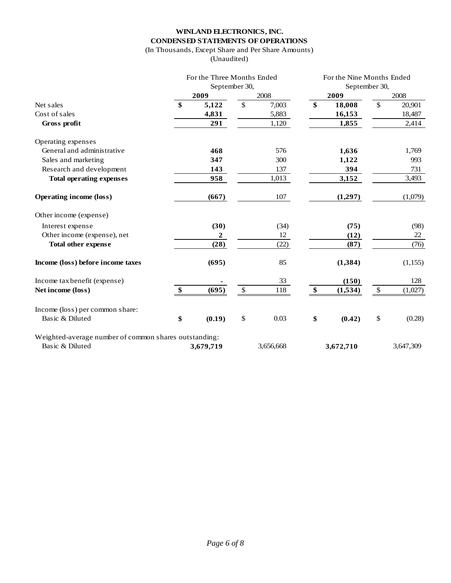## **WINLAND ELECTRONICS, INC. CONDENSED STATEMENTS OF OPERATIONS**

# (In Thousands, Except Share and Per Share Amounts)

(Unaudited)

|                                                       | For the Three Months Ended |               |           | For the Nine Months Ended |               |               |           |  |
|-------------------------------------------------------|----------------------------|---------------|-----------|---------------------------|---------------|---------------|-----------|--|
|                                                       | September 30,              |               |           |                           | September 30, |               |           |  |
|                                                       | 2009                       |               | 2008      |                           | 2009          |               | 2008      |  |
| Net sales                                             | \$<br>5,122                | \$            | 7,003     | \$                        | 18,008        | $\mathbb{S}$  | 20,901    |  |
| Cost of sales                                         | 4,831                      |               | 5,883     |                           | 16,153        |               | 18,487    |  |
| Gross profit                                          | 291                        |               | 1,120     |                           | 1,855         |               | 2,414     |  |
| Operating expenses                                    |                            |               |           |                           |               |               |           |  |
| General and administrative                            | 468                        |               | 576       |                           | 1,636         |               | 1,769     |  |
| Sales and marketing                                   | 347                        |               | 300       |                           | 1,122         |               | 993       |  |
| Research and development                              | 143                        |               | 137       |                           | 394           |               | 731       |  |
| <b>Total operating expenses</b>                       | 958                        |               | 1,013     |                           | 3,152         |               | 3,493     |  |
| <b>Operating income (loss)</b>                        | (667)                      |               | 107       |                           | (1,297)       |               | (1,079)   |  |
| Other income (expense)                                |                            |               |           |                           |               |               |           |  |
| Interest expense                                      | (30)                       |               | (34)      |                           | (75)          |               | (98)      |  |
| Other income (expense), net                           | $\boldsymbol{2}$           |               | 12        |                           | (12)          |               | 22        |  |
| <b>Total other expense</b>                            | (28)                       |               | (22)      |                           | (87)          |               | (76)      |  |
| Income (loss) before income taxes                     | (695)                      |               | 85        |                           | (1, 384)      |               | (1, 155)  |  |
| Income tax benefit (expense)                          |                            |               | 33        |                           | (150)         |               | 128       |  |
| Net income (loss)                                     | \$<br>(695)                | $\$\,$        | 118       | \$                        | (1,534)       | $\mathcal{L}$ | (1,027)   |  |
| Income (loss) per common share:                       |                            |               |           |                           |               |               |           |  |
| Basic & Diluted                                       | \$<br>(0.19)               | $\mathcal{S}$ | 0.03      | \$                        | (0.42)        | \$            | (0.28)    |  |
| Weighted-average number of common shares outstanding: |                            |               |           |                           |               |               |           |  |
| Basic & Diluted                                       | 3,679,719                  |               | 3,656,668 |                           | 3,672,710     |               | 3,647,309 |  |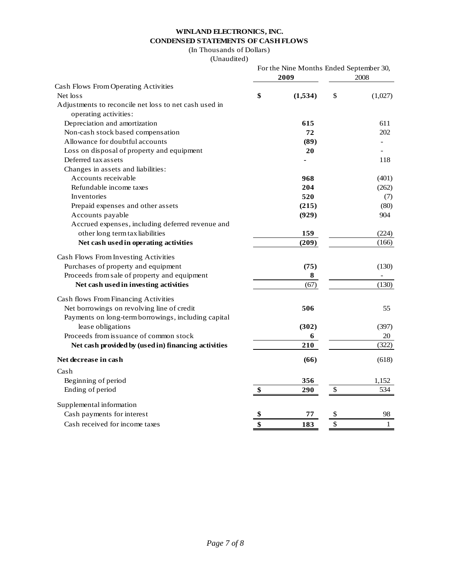# **WINLAND ELECTRONICS, INC. CONDENSED STATEMENTS OF CASH FLOWS**

# (In Thousands of Dollars)

#### (Unaudited)

|                                                       | 2009          | For the Nine Months Ended September 30,<br>2008 |         |  |
|-------------------------------------------------------|---------------|-------------------------------------------------|---------|--|
| Cash Flows From Operating Activities                  |               |                                                 |         |  |
| Net loss                                              | \$<br>(1,534) | \$                                              | (1,027) |  |
| Adjustments to reconcile net loss to net cash used in |               |                                                 |         |  |
| operating activities:                                 |               |                                                 |         |  |
| Depreciation and amortization                         | 615           |                                                 | 611     |  |
| Non-cash stock based compensation                     | 72            |                                                 | 202     |  |
| Allowance for doubtful accounts                       | (89)          |                                                 |         |  |
| Loss on disposal of property and equipment            | 20            |                                                 |         |  |
| Deferred tax assets                                   |               |                                                 | 118     |  |
| Changes in assets and liabilities:                    |               |                                                 |         |  |
| Accounts receivable                                   | 968           |                                                 | (401)   |  |
| Refundable income taxes                               | 204           |                                                 | (262)   |  |
| Inventories                                           | 520           |                                                 | (7)     |  |
| Prepaid expenses and other assets                     | (215)         |                                                 | (80)    |  |
| Accounts payable                                      | (929)         |                                                 | 904     |  |
| Accrued expenses, including deferred revenue and      |               |                                                 |         |  |
| other long term tax liabilities                       | 159           |                                                 | (224)   |  |
| Net cash used in operating activities                 | (209)         |                                                 | (166)   |  |
| Cash Flows From Investing Activities                  |               |                                                 |         |  |
| Purchases of property and equipment                   | (75)          |                                                 | (130)   |  |
| Proceeds from sale of property and equipment          | 8             |                                                 |         |  |
| Net cash used in investing activities                 | (67)          |                                                 | (130)   |  |
| Cash flows From Financing Activities                  |               |                                                 |         |  |
| Net borrowings on revolving line of credit            | 506           |                                                 | 55      |  |
| Payments on long-term borrowings, including capital   |               |                                                 |         |  |
| lease obligations                                     | (302)         |                                                 | (397)   |  |
| Proceeds from issuance of common stock                | 6             |                                                 | 20      |  |
| Net cash provided by (used in) financing activities   | 210           |                                                 | (322)   |  |
| Net decrease in cash                                  | (66)          |                                                 | (618)   |  |
| Cash                                                  |               |                                                 |         |  |
| Beginning of period                                   | 356           |                                                 | 1,152   |  |
| Ending of period                                      | \$<br>290     | \$                                              | 534     |  |
| Supplemental information                              |               |                                                 |         |  |
| Cash payments for interest                            | \$<br>77      | \$                                              | 98      |  |
| Cash received for income taxes                        | \$<br>183     | \$                                              | 1       |  |